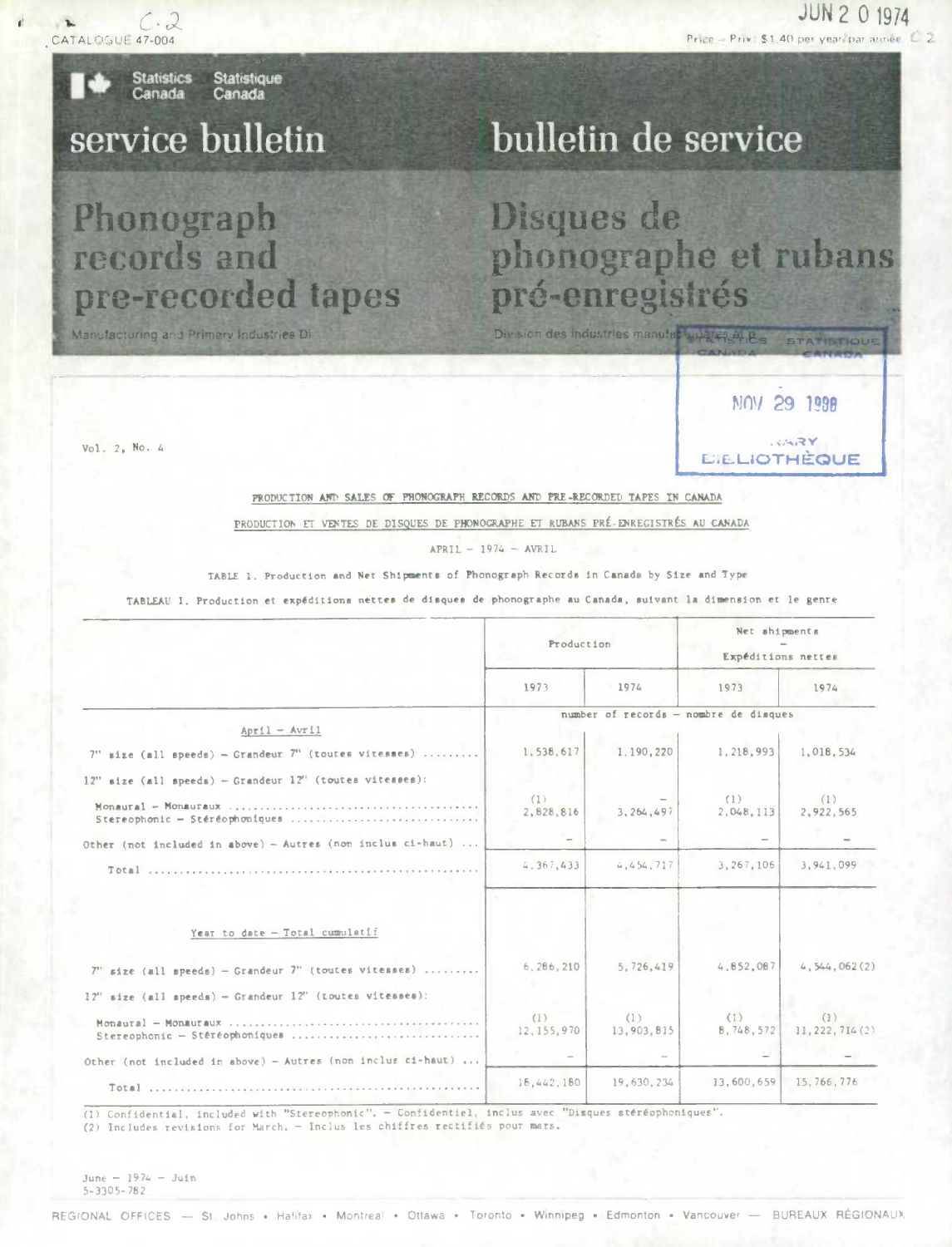$C.2$ CATALOGUE 47-004

**JUN 2 0 1974** Price - Prix: \$1,40 per year/par annee. C.2

**STATILIQUE** 

**NOV 29 1998** 

EIELIOTHÈQUE

Y Firis.

**Statistics** Statistique Canada Canada

service bulletin

# Phonograph records and pre-recorded tapes

Manufacturing and Primary Industries Di-

# bulletin de service

Disques de phonographe et rubans pré-enregistrés

Division des Industries manufal tupper au P.

Vol. 2, No. 4

PRODUCTION AND SALES OF PHONOGRAPH RECORDS AND PRE-RECORDED TAPES IN CANADA

PRODUCTION ET VENTES DE DISQUES DE PHONOGRAPHE ET RUBANS PRÉ-ENREGISTRÉS AU CANADA

 $APRIL - 1974 - AVRIL$ 

TABLE 1. Production and Net Shipments of Phonograph Records in Canada by Size and Type

TABLEAU 1. Production et expéditions nettes de disques de phonographe au Canada, suivant la dimension et le genre

|                                                             | Production               |                   | Net shipments<br>Expéditions nettes   |                        |
|-------------------------------------------------------------|--------------------------|-------------------|---------------------------------------|------------------------|
|                                                             | 1973                     | 1974              | 1973                                  | 1974                   |
| $April - Avr11$                                             |                          |                   | number of records - nombre de disques |                        |
| $7"$ size (all speeds) - Grandeur $7"$ (toutes vitesses)    | 1,538,617                | 1.190.220         | 1.218,993                             | 1.018.534              |
| $12"$ size (all speeds) - Grandeur $12"$ (toutes vitesses): |                          |                   |                                       |                        |
| Stereophonic - Stéréophoniques                              | (1)<br>2.828.816         | 3,264,497         | (1)<br>2,048,113                      | (1)<br>2,922,565       |
| Other (not included in above) - Autres (non inclus ci-haut) |                          |                   |                                       |                        |
|                                                             | 4,367,433                | 4.454.717         | 3,267,106                             | 3,941,099              |
|                                                             |                          |                   |                                       |                        |
| Year to date - Total cumulatif                              |                          |                   |                                       |                        |
| $7"$ size (all speeds) - Grandeur $7"$ (toutes vitesses)    | 6.286.210                | 5.726.419         | 4.852.087                             | 4, 544, 062(2)         |
| $12"$ size (all speeds) - Grandeur $12"$ (toutes vitesses): |                          |                   |                                       |                        |
| Stereophonic - Stéréophoniques                              | (1)<br>12, 155, 970      | (1)<br>13,903,815 | (1)<br>8.748.572                      | (1)<br>11, 222, 714(2) |
| Other (not included in above) - Autres (non inclus ci-haut) | $\overline{\phantom{a}}$ |                   |                                       |                        |
|                                                             | 15, 442, 180             | 19,630,234        |                                       | 13,600,659 15,766,776  |

(1) Confidential, included with "Stereophonic". - Confidentiel, inclus avec "Disques stereophoniques".

(2) Includes revisions for March. - Inclus les chiffres rectifiés pour mars.

June - 1974 - Juin  $5 - 3305 - 782$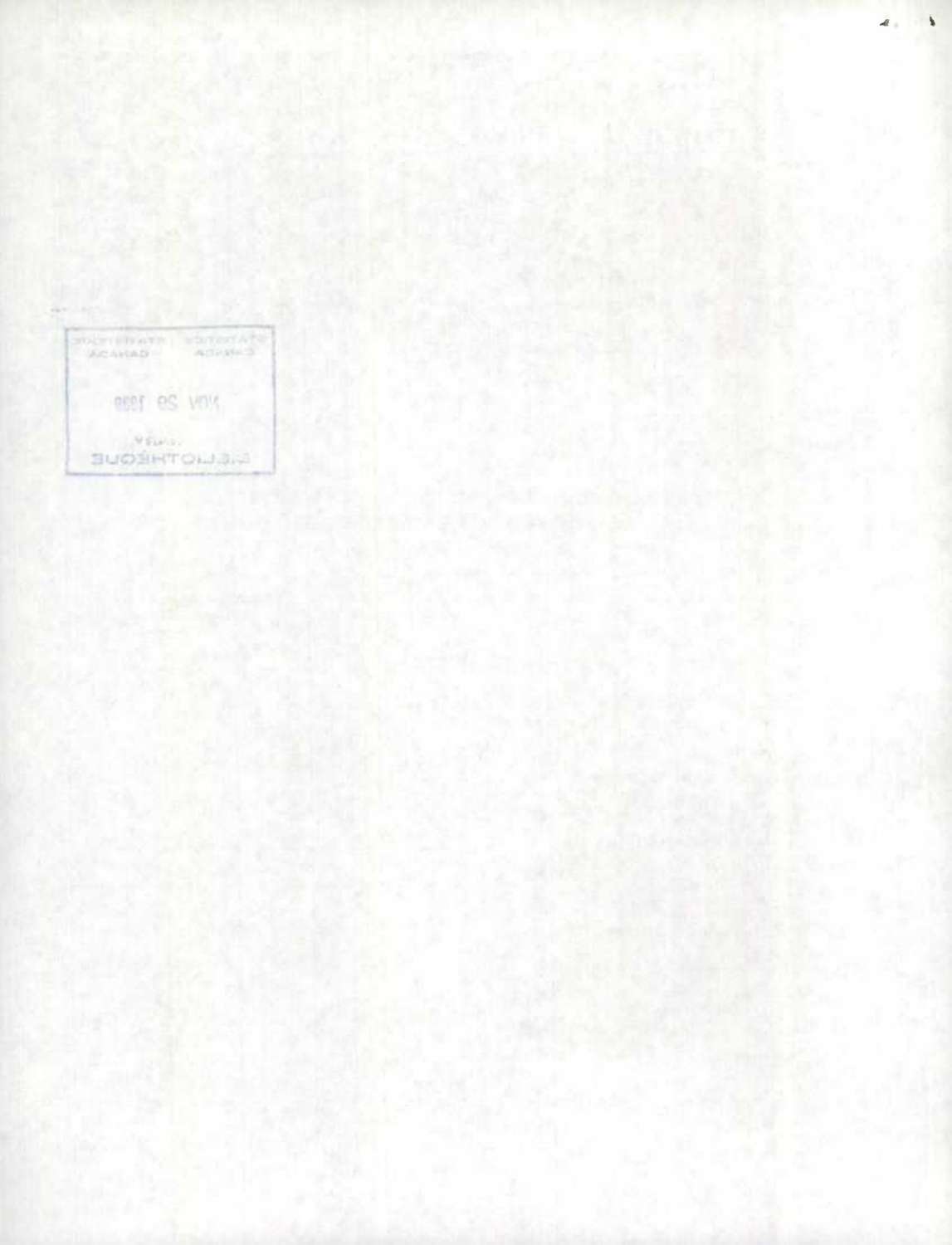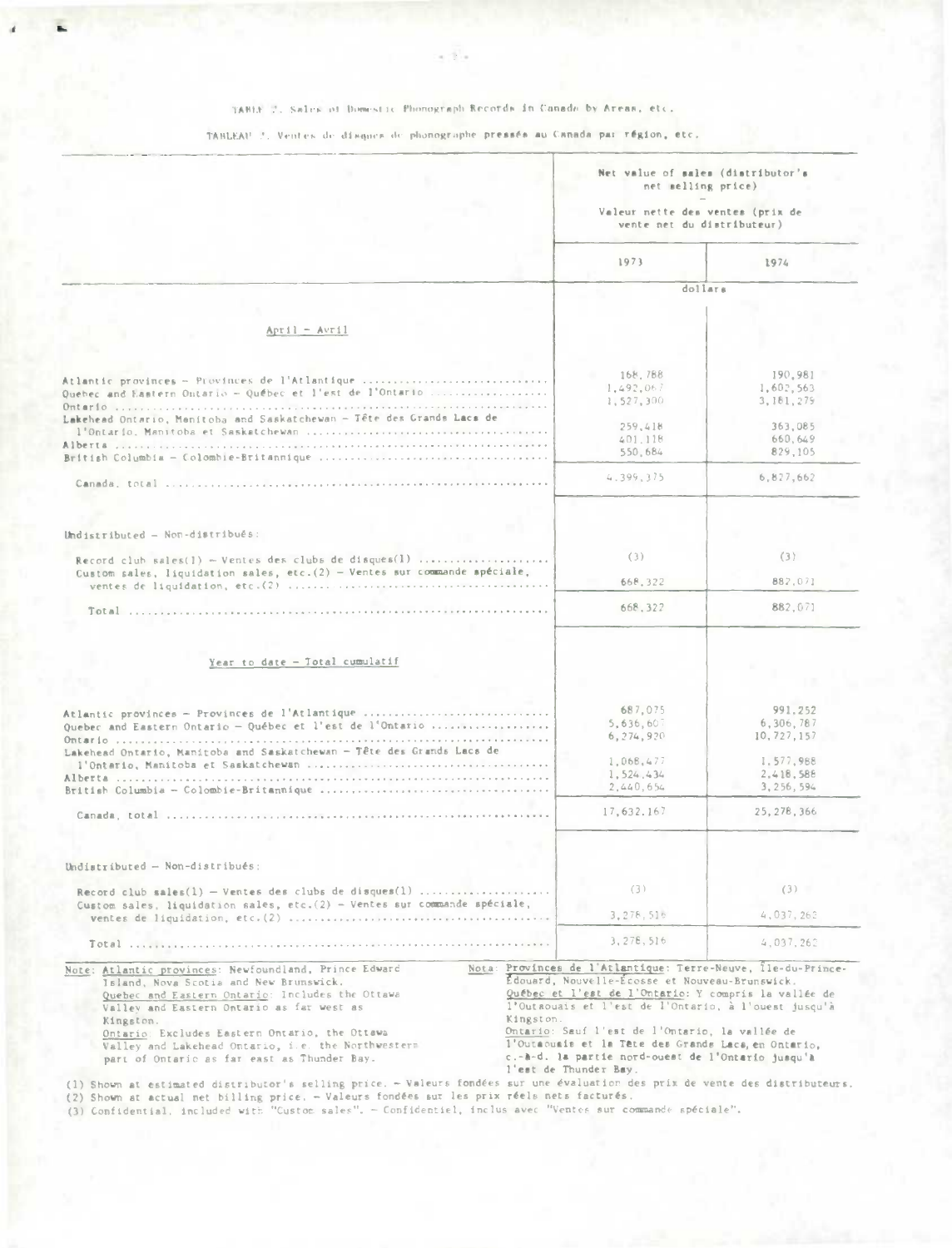## TABLE J. Sales of Domestic Phonograph Records in Canada by Areas, etc.

|  |  |  | TABLEAU J. Ventes de disques de phonographe pressés au Canada pai région, etc. |  |  |  |  |  |
|--|--|--|--------------------------------------------------------------------------------|--|--|--|--|--|
|--|--|--|--------------------------------------------------------------------------------|--|--|--|--|--|

|                                                                                                                                                                                                                                                                                                                                                                                          | Net value of sales (distributor's<br>net melling price)<br>Valeur nette des ventes (prix de<br>vente net du distributeur)                                                                                                                                                                                                                                                                                       |                                    |  |
|------------------------------------------------------------------------------------------------------------------------------------------------------------------------------------------------------------------------------------------------------------------------------------------------------------------------------------------------------------------------------------------|-----------------------------------------------------------------------------------------------------------------------------------------------------------------------------------------------------------------------------------------------------------------------------------------------------------------------------------------------------------------------------------------------------------------|------------------------------------|--|
|                                                                                                                                                                                                                                                                                                                                                                                          |                                                                                                                                                                                                                                                                                                                                                                                                                 |                                    |  |
|                                                                                                                                                                                                                                                                                                                                                                                          | 1973                                                                                                                                                                                                                                                                                                                                                                                                            | 1974                               |  |
|                                                                                                                                                                                                                                                                                                                                                                                          | dollars                                                                                                                                                                                                                                                                                                                                                                                                         |                                    |  |
|                                                                                                                                                                                                                                                                                                                                                                                          |                                                                                                                                                                                                                                                                                                                                                                                                                 |                                    |  |
| $April = Avr11$                                                                                                                                                                                                                                                                                                                                                                          |                                                                                                                                                                                                                                                                                                                                                                                                                 |                                    |  |
|                                                                                                                                                                                                                                                                                                                                                                                          |                                                                                                                                                                                                                                                                                                                                                                                                                 |                                    |  |
| Atlantic provinces -- Provinces de l'Atlantique<br>Quebec and Eastern Ontario - Québec et l'est de l'Ontario                                                                                                                                                                                                                                                                             | 168,788<br>1,492,067<br>1,527,300                                                                                                                                                                                                                                                                                                                                                                               | 190,981<br>1,602,563<br>3,181,279  |  |
| Lakehead Ontario, Manitoba and Saskatchewan - Tête des Grands Lacs de                                                                                                                                                                                                                                                                                                                    | 259,418                                                                                                                                                                                                                                                                                                                                                                                                         | 363.085                            |  |
|                                                                                                                                                                                                                                                                                                                                                                                          | 401.118<br>550,684                                                                                                                                                                                                                                                                                                                                                                                              | 660,649<br>829,105                 |  |
|                                                                                                                                                                                                                                                                                                                                                                                          |                                                                                                                                                                                                                                                                                                                                                                                                                 |                                    |  |
|                                                                                                                                                                                                                                                                                                                                                                                          | 4.399.375                                                                                                                                                                                                                                                                                                                                                                                                       | 6,827,662                          |  |
|                                                                                                                                                                                                                                                                                                                                                                                          |                                                                                                                                                                                                                                                                                                                                                                                                                 |                                    |  |
| Indistributed - Non-distribués:                                                                                                                                                                                                                                                                                                                                                          |                                                                                                                                                                                                                                                                                                                                                                                                                 |                                    |  |
| Record club sales(1) - Ventes des clubs de disques(1)                                                                                                                                                                                                                                                                                                                                    | (3)                                                                                                                                                                                                                                                                                                                                                                                                             | (3)                                |  |
| Custom sales, liquidation sales, etc. (2) - Ventes sur commande spéciale,                                                                                                                                                                                                                                                                                                                | 668,322                                                                                                                                                                                                                                                                                                                                                                                                         | 882.071                            |  |
|                                                                                                                                                                                                                                                                                                                                                                                          |                                                                                                                                                                                                                                                                                                                                                                                                                 |                                    |  |
|                                                                                                                                                                                                                                                                                                                                                                                          | 668,322                                                                                                                                                                                                                                                                                                                                                                                                         | 882,071                            |  |
|                                                                                                                                                                                                                                                                                                                                                                                          |                                                                                                                                                                                                                                                                                                                                                                                                                 |                                    |  |
| Year to date - Total cumulatif                                                                                                                                                                                                                                                                                                                                                           |                                                                                                                                                                                                                                                                                                                                                                                                                 |                                    |  |
|                                                                                                                                                                                                                                                                                                                                                                                          |                                                                                                                                                                                                                                                                                                                                                                                                                 |                                    |  |
|                                                                                                                                                                                                                                                                                                                                                                                          |                                                                                                                                                                                                                                                                                                                                                                                                                 |                                    |  |
| Atlantic provinces - Provinces de l'Atlantique<br>Quebec and Eastern Ontario - Québec et l'est de l'Ontario                                                                                                                                                                                                                                                                              | 687,075<br>5,636,607<br>6, 274, 920                                                                                                                                                                                                                                                                                                                                                                             | 991.252<br>6,306,787<br>10,727,157 |  |
| Lakehead Ontario, Manitoba and Saskatchewan - Tête des Grands Lacs de                                                                                                                                                                                                                                                                                                                    | 1.068,477                                                                                                                                                                                                                                                                                                                                                                                                       | 1,577,988                          |  |
|                                                                                                                                                                                                                                                                                                                                                                                          | 1,524,434<br>2.440.654                                                                                                                                                                                                                                                                                                                                                                                          | 2.418.588<br>3, 256, 594           |  |
|                                                                                                                                                                                                                                                                                                                                                                                          | 17.632.167                                                                                                                                                                                                                                                                                                                                                                                                      |                                    |  |
|                                                                                                                                                                                                                                                                                                                                                                                          |                                                                                                                                                                                                                                                                                                                                                                                                                 | 25, 278, 366                       |  |
|                                                                                                                                                                                                                                                                                                                                                                                          |                                                                                                                                                                                                                                                                                                                                                                                                                 |                                    |  |
| Undistributed $-$ Non-distribués:                                                                                                                                                                                                                                                                                                                                                        |                                                                                                                                                                                                                                                                                                                                                                                                                 |                                    |  |
| Record club sales $(1)$ - Ventes des clubs de disques $(1)$                                                                                                                                                                                                                                                                                                                              | (3)                                                                                                                                                                                                                                                                                                                                                                                                             | (3)                                |  |
| Custom sales, liquidation sales, etc. (2) - Ventes sur commande spéciale,                                                                                                                                                                                                                                                                                                                | 3, 278, 516                                                                                                                                                                                                                                                                                                                                                                                                     | 4,037,262                          |  |
|                                                                                                                                                                                                                                                                                                                                                                                          | 3,278,516                                                                                                                                                                                                                                                                                                                                                                                                       | 4,037,262                          |  |
| Note: Atlantic provinces: Newfoundland, Prince Edward<br>Nota:<br>Island, Nova Scotia and New Brunswick.<br>Quebec and Eastern Ontario: Includes the Ottawa<br>Valley and Eastern Ontario as far west as<br>Kingston.<br>Kingston.<br>Ontario: Excludes Eastern Ontario, the Ottawa<br>Valley and Lakehead Ontario, i.e. the Northwestern<br>part of Ontario as far east as Thunder Bay. | Provinces de l'Atlantique: Terre-Neuve, Ile-du-Prince-<br>Édouard, Nouvelle-Écosse et Nouveau-Brunswick.<br>Québec et l'est de l'Ontario: Y compris la vallée de<br>l'Outrouais et l'est de l'Ontario, à l'ouest juscu'à<br>Ontario: Sauf l'est de l'Ontario, la vallée de<br>l'Outaouais et la Tête des Grands Lacs, en Ontario.<br>c.-a-d. la partie nord-ouest de l'Ontario jusqu'à<br>l'est de Thunder Bay. |                                    |  |

(1) Shown at estimated distributor's selling price. - Valeurs fondées sur une évaluation des prix de vente des distributeurs.<br>(2) Shown at actual net billing price. - Valeurs fondées sur les prix réels nets facturés.<br>(3) C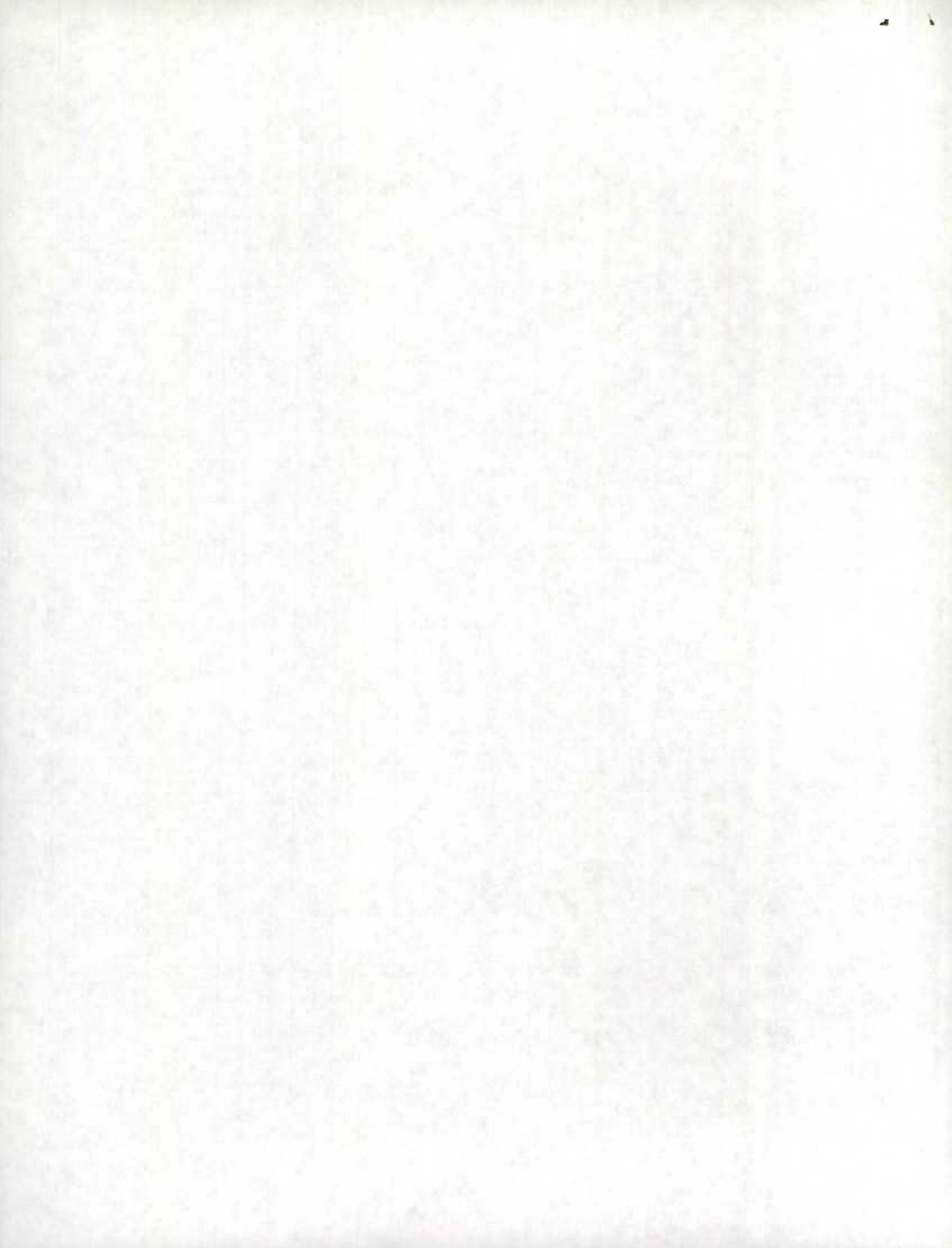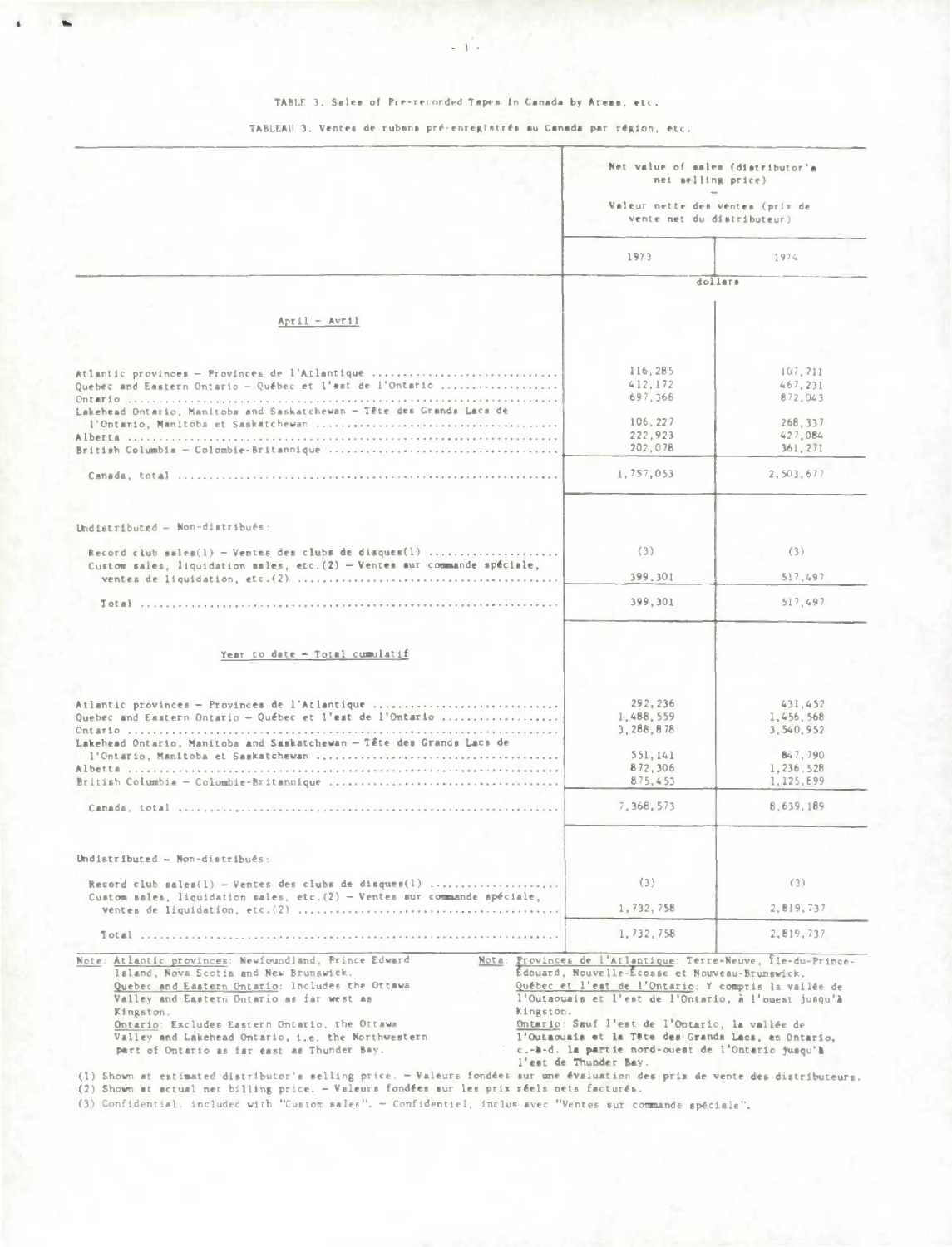## TABLE 3, Sales of Pre-recorded Tapes in Canada by Areas, etc.

TABLEAU 3. Ventes de rubana pré-enregistrés au Canada par région, etc.

|                                                                                                                                                                                                                                                                                                                     |                                                                                                                                                                                                                                                                                                                                                      | Net value of sales (distributor's<br>net selling price) |  |  |
|---------------------------------------------------------------------------------------------------------------------------------------------------------------------------------------------------------------------------------------------------------------------------------------------------------------------|------------------------------------------------------------------------------------------------------------------------------------------------------------------------------------------------------------------------------------------------------------------------------------------------------------------------------------------------------|---------------------------------------------------------|--|--|
|                                                                                                                                                                                                                                                                                                                     | Valeur nette des ventes (prix de<br>vente net du distributeur)                                                                                                                                                                                                                                                                                       |                                                         |  |  |
|                                                                                                                                                                                                                                                                                                                     | 1973                                                                                                                                                                                                                                                                                                                                                 | 1974                                                    |  |  |
|                                                                                                                                                                                                                                                                                                                     |                                                                                                                                                                                                                                                                                                                                                      | dollars                                                 |  |  |
| $April - Avril$                                                                                                                                                                                                                                                                                                     |                                                                                                                                                                                                                                                                                                                                                      |                                                         |  |  |
|                                                                                                                                                                                                                                                                                                                     |                                                                                                                                                                                                                                                                                                                                                      |                                                         |  |  |
|                                                                                                                                                                                                                                                                                                                     |                                                                                                                                                                                                                                                                                                                                                      |                                                         |  |  |
| Atlantic provinces - Provinces de l'Atlantique                                                                                                                                                                                                                                                                      | 116.285                                                                                                                                                                                                                                                                                                                                              | 107,711                                                 |  |  |
| Quebec and Eastern Ontario - Québec et l'est de l'Ontario                                                                                                                                                                                                                                                           | 412,172                                                                                                                                                                                                                                                                                                                                              | 467,231                                                 |  |  |
|                                                                                                                                                                                                                                                                                                                     | 697,368                                                                                                                                                                                                                                                                                                                                              | 872,043                                                 |  |  |
| Lakehead Ontario, Manitoba and Saskatchewan - Tête des Granda Lacs de                                                                                                                                                                                                                                               | 106, 227                                                                                                                                                                                                                                                                                                                                             | 268,337                                                 |  |  |
|                                                                                                                                                                                                                                                                                                                     | 222,923                                                                                                                                                                                                                                                                                                                                              | 427.084                                                 |  |  |
|                                                                                                                                                                                                                                                                                                                     | 202,078                                                                                                                                                                                                                                                                                                                                              | 361, 271                                                |  |  |
|                                                                                                                                                                                                                                                                                                                     | 1,757,053                                                                                                                                                                                                                                                                                                                                            | 2,503,677                                               |  |  |
|                                                                                                                                                                                                                                                                                                                     |                                                                                                                                                                                                                                                                                                                                                      |                                                         |  |  |
|                                                                                                                                                                                                                                                                                                                     |                                                                                                                                                                                                                                                                                                                                                      |                                                         |  |  |
| $Indistributed - Non-distribles:$                                                                                                                                                                                                                                                                                   |                                                                                                                                                                                                                                                                                                                                                      |                                                         |  |  |
| Record club sales(1) - Ventes des clubs de disques(1)<br>Custom sales, liquidation sales, etc. $(2)$ - Ventes sur commande speciale,                                                                                                                                                                                | (3)                                                                                                                                                                                                                                                                                                                                                  | (3)                                                     |  |  |
|                                                                                                                                                                                                                                                                                                                     | 399,301                                                                                                                                                                                                                                                                                                                                              | 517,497                                                 |  |  |
|                                                                                                                                                                                                                                                                                                                     | 399,301                                                                                                                                                                                                                                                                                                                                              | 517,497                                                 |  |  |
|                                                                                                                                                                                                                                                                                                                     |                                                                                                                                                                                                                                                                                                                                                      |                                                         |  |  |
| Year to date - Total cumulatif                                                                                                                                                                                                                                                                                      |                                                                                                                                                                                                                                                                                                                                                      |                                                         |  |  |
|                                                                                                                                                                                                                                                                                                                     |                                                                                                                                                                                                                                                                                                                                                      |                                                         |  |  |
|                                                                                                                                                                                                                                                                                                                     |                                                                                                                                                                                                                                                                                                                                                      |                                                         |  |  |
| Atlantic provinces - Provinces de l'Atlantique<br>Quebec and Eastern Ontario - Québec et l'est de l'Ontario                                                                                                                                                                                                         | 292, 236<br>1,488,559                                                                                                                                                                                                                                                                                                                                | 431.452<br>1,456,568                                    |  |  |
|                                                                                                                                                                                                                                                                                                                     | 3,288,878                                                                                                                                                                                                                                                                                                                                            | 3.540.952                                               |  |  |
| Lakehead Ontario, Manitoba and Saskatchewan - Tête des Grands Lacs de                                                                                                                                                                                                                                               |                                                                                                                                                                                                                                                                                                                                                      |                                                         |  |  |
|                                                                                                                                                                                                                                                                                                                     | 551, 141                                                                                                                                                                                                                                                                                                                                             | 847,790                                                 |  |  |
|                                                                                                                                                                                                                                                                                                                     | 872,306                                                                                                                                                                                                                                                                                                                                              | 1,236.528                                               |  |  |
|                                                                                                                                                                                                                                                                                                                     | 875,453                                                                                                                                                                                                                                                                                                                                              | 1,125,899                                               |  |  |
|                                                                                                                                                                                                                                                                                                                     | 7.368.573                                                                                                                                                                                                                                                                                                                                            | 8,639,189                                               |  |  |
|                                                                                                                                                                                                                                                                                                                     |                                                                                                                                                                                                                                                                                                                                                      |                                                         |  |  |
| $Undistrlbuted - Non-distribués:$                                                                                                                                                                                                                                                                                   |                                                                                                                                                                                                                                                                                                                                                      |                                                         |  |  |
| Record club sales(1) - Ventes des clubs de disques(1)                                                                                                                                                                                                                                                               | (3)                                                                                                                                                                                                                                                                                                                                                  | (3)                                                     |  |  |
| Custom sales, liquidation sales, etc. $(2)$ - Ventes sur commande spéciale,                                                                                                                                                                                                                                         | 1,732,758                                                                                                                                                                                                                                                                                                                                            | 2,819,737                                               |  |  |
|                                                                                                                                                                                                                                                                                                                     | 1,732,758                                                                                                                                                                                                                                                                                                                                            | 2,819,737                                               |  |  |
| Note: Atlantic provinces: Newfoundland, Prince Edward<br>Island, Nova Scotia and New Brunswick.<br>Quebec and Eastern Ontario: Includes the Ottawa<br>Valley and Eastern Ontario as far west as<br>Kingston,<br>Ontario: Excludes Eastern Ontario, the Ottawa<br>Valley and Lakehead Ontario, i.e. the Northwestern | Nota: Provinces de l'Atlantique: Terre-Neuve, Île-du-Prince-<br>Édouard, Nouvelle-Écosse et Nouveau-Brunswick.<br>Québec et l'est de l'Ontario: Y compris la vallée de<br>l'Outaousis et l'est de l'Ontario, à l'ouest jusqu'à<br>Kingston.<br>Ontario: Sauf l'est de l'Ontario, la vallée de<br>l'Outaquais et la Tête des Grands Lacs, en Ontario. |                                                         |  |  |
| part of Ontario as far east as Thunder Bay.                                                                                                                                                                                                                                                                         | c.-b-d. la partie nord-ouest de l'Ontario jusqu'à                                                                                                                                                                                                                                                                                                    |                                                         |  |  |
|                                                                                                                                                                                                                                                                                                                     | l'est de Thunder Bay.                                                                                                                                                                                                                                                                                                                                |                                                         |  |  |

(1) Shown at estimated distributor's selling price. - Valeurs fondées sur une évaluation des prix de vente des distributeurs.<br>(2) Shown at actual net billing price. - Valeurs fondées sur les prix réels nets facturés.

(3) Confidential, included with "Custom sales". - Confidentiel, inclus avec "Ventes sur commande spéciale".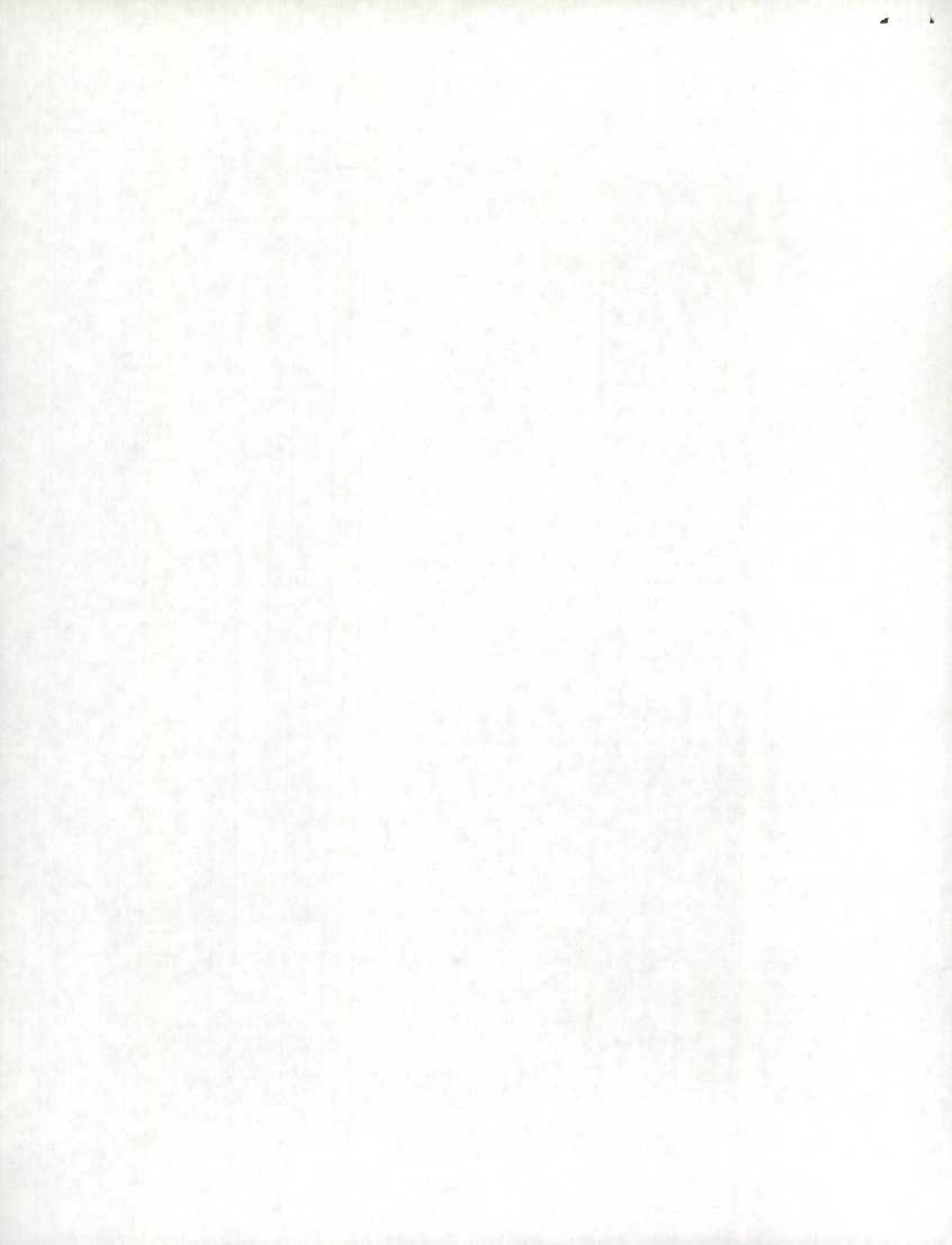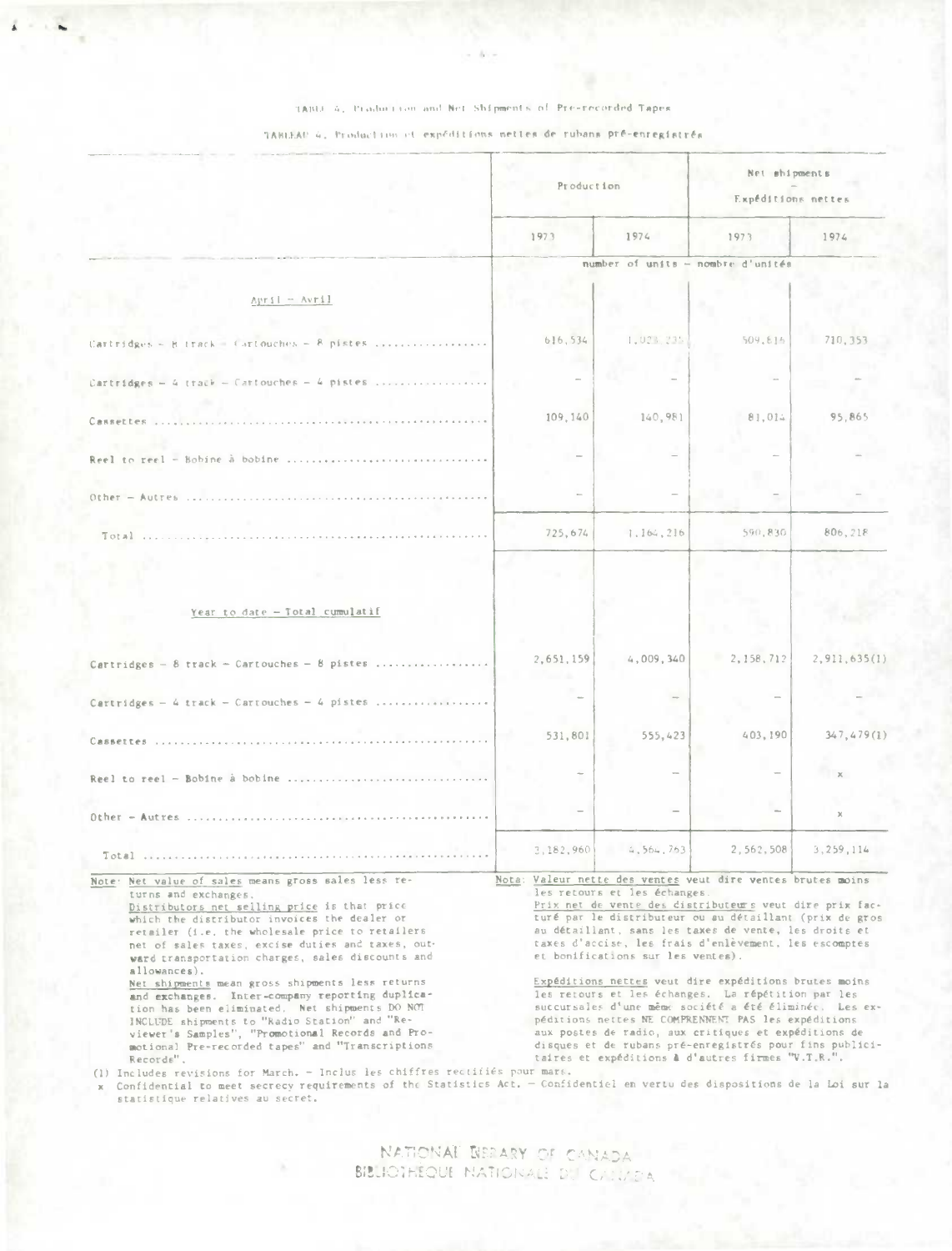#### TABLE 4, Production and Net Shipments of Pre-recorded Tapes

#### TANIEAU 4. Production et expéditions nettes de rubans pré-enregistrés

|                                                                                                                                                                                                                                                                                                                                                                                                                                                                                                                                                                                                                                                                                                                                                                       | Production                                                                                                                                                                                                                                                                                                                                                                                                                                                                                                                                                                                                                                                                                                                                                                       |           | Net shipments<br>Expéditions nettes |                |  |
|-----------------------------------------------------------------------------------------------------------------------------------------------------------------------------------------------------------------------------------------------------------------------------------------------------------------------------------------------------------------------------------------------------------------------------------------------------------------------------------------------------------------------------------------------------------------------------------------------------------------------------------------------------------------------------------------------------------------------------------------------------------------------|----------------------------------------------------------------------------------------------------------------------------------------------------------------------------------------------------------------------------------------------------------------------------------------------------------------------------------------------------------------------------------------------------------------------------------------------------------------------------------------------------------------------------------------------------------------------------------------------------------------------------------------------------------------------------------------------------------------------------------------------------------------------------------|-----------|-------------------------------------|----------------|--|
|                                                                                                                                                                                                                                                                                                                                                                                                                                                                                                                                                                                                                                                                                                                                                                       | 1973                                                                                                                                                                                                                                                                                                                                                                                                                                                                                                                                                                                                                                                                                                                                                                             | 1974      | 1973                                | 1974           |  |
|                                                                                                                                                                                                                                                                                                                                                                                                                                                                                                                                                                                                                                                                                                                                                                       |                                                                                                                                                                                                                                                                                                                                                                                                                                                                                                                                                                                                                                                                                                                                                                                  |           | number of units - nombre d'unités   |                |  |
| $Ayr11 - Avr11$                                                                                                                                                                                                                                                                                                                                                                                                                                                                                                                                                                                                                                                                                                                                                       |                                                                                                                                                                                                                                                                                                                                                                                                                                                                                                                                                                                                                                                                                                                                                                                  |           |                                     |                |  |
|                                                                                                                                                                                                                                                                                                                                                                                                                                                                                                                                                                                                                                                                                                                                                                       | 616,534                                                                                                                                                                                                                                                                                                                                                                                                                                                                                                                                                                                                                                                                                                                                                                          | 1,023,235 | 509.615                             | 710, 353       |  |
| Cartridges - 4 track - Cartouches - 4 pistes                                                                                                                                                                                                                                                                                                                                                                                                                                                                                                                                                                                                                                                                                                                          |                                                                                                                                                                                                                                                                                                                                                                                                                                                                                                                                                                                                                                                                                                                                                                                  |           |                                     |                |  |
|                                                                                                                                                                                                                                                                                                                                                                                                                                                                                                                                                                                                                                                                                                                                                                       | 109, 140                                                                                                                                                                                                                                                                                                                                                                                                                                                                                                                                                                                                                                                                                                                                                                         | 140,981   | 81,014                              | 95,865         |  |
| Reel to reel - Bobine à bobine                                                                                                                                                                                                                                                                                                                                                                                                                                                                                                                                                                                                                                                                                                                                        |                                                                                                                                                                                                                                                                                                                                                                                                                                                                                                                                                                                                                                                                                                                                                                                  |           |                                     |                |  |
|                                                                                                                                                                                                                                                                                                                                                                                                                                                                                                                                                                                                                                                                                                                                                                       |                                                                                                                                                                                                                                                                                                                                                                                                                                                                                                                                                                                                                                                                                                                                                                                  |           |                                     |                |  |
|                                                                                                                                                                                                                                                                                                                                                                                                                                                                                                                                                                                                                                                                                                                                                                       | 725.674                                                                                                                                                                                                                                                                                                                                                                                                                                                                                                                                                                                                                                                                                                                                                                          | 1,164,216 | 590,830                             | 806,218        |  |
|                                                                                                                                                                                                                                                                                                                                                                                                                                                                                                                                                                                                                                                                                                                                                                       |                                                                                                                                                                                                                                                                                                                                                                                                                                                                                                                                                                                                                                                                                                                                                                                  |           |                                     |                |  |
| Year to date - Total cumulatif                                                                                                                                                                                                                                                                                                                                                                                                                                                                                                                                                                                                                                                                                                                                        |                                                                                                                                                                                                                                                                                                                                                                                                                                                                                                                                                                                                                                                                                                                                                                                  |           |                                     |                |  |
| Cartridges - 8 track - Cartouches - 8 pistes                                                                                                                                                                                                                                                                                                                                                                                                                                                                                                                                                                                                                                                                                                                          | 2,651,159                                                                                                                                                                                                                                                                                                                                                                                                                                                                                                                                                                                                                                                                                                                                                                        | 4,009,340 | 2,158,712                           | 2, 911, 635(1) |  |
| Cartridges - 4 track - Cartouches - 4 pistes                                                                                                                                                                                                                                                                                                                                                                                                                                                                                                                                                                                                                                                                                                                          |                                                                                                                                                                                                                                                                                                                                                                                                                                                                                                                                                                                                                                                                                                                                                                                  |           |                                     |                |  |
|                                                                                                                                                                                                                                                                                                                                                                                                                                                                                                                                                                                                                                                                                                                                                                       | 531,801                                                                                                                                                                                                                                                                                                                                                                                                                                                                                                                                                                                                                                                                                                                                                                          | 555,423   | 403,190                             | 347, 479(1)    |  |
| Reel to reel - Bobine à bobine                                                                                                                                                                                                                                                                                                                                                                                                                                                                                                                                                                                                                                                                                                                                        |                                                                                                                                                                                                                                                                                                                                                                                                                                                                                                                                                                                                                                                                                                                                                                                  |           |                                     |                |  |
|                                                                                                                                                                                                                                                                                                                                                                                                                                                                                                                                                                                                                                                                                                                                                                       |                                                                                                                                                                                                                                                                                                                                                                                                                                                                                                                                                                                                                                                                                                                                                                                  |           |                                     | $\mathcal{H}$  |  |
| Total                                                                                                                                                                                                                                                                                                                                                                                                                                                                                                                                                                                                                                                                                                                                                                 | 3,182,960                                                                                                                                                                                                                                                                                                                                                                                                                                                                                                                                                                                                                                                                                                                                                                        | 4,564,763 | 2,562,508                           | 3,259,114      |  |
| Note: Net value of sales means gross sales less re-<br>turns and exchanges.<br>Distributors net selling price is that price<br>which the distributor invoices the dealer or<br>retailer (i.e. the wholesale price to retailers<br>net of sales taxes, excise duties and taxes, out-<br>ward transportation charges, sales discounts and<br>allowances).<br>Net shipments mean gross shipments less returns<br>and exchanges. Inter-company reporting duplica-<br>tion has been eliminated. Net shipments DO NOT<br>INCLUDE shipments to "Radio Station" and "Re-<br>viewer's Samples", "Promotional Records and Pro-<br>motional Pre-recorded tapes" and "Transcriptions<br>Records".<br>(1) Includes revisions for March. - Inclus les chiffres rectifiés pour mars. | Nota: Valeur nette des ventes veut dire ventes brutes moins<br>les retours et les échanges.<br>Prix net de vente des distributeurs veut dire prix fac-<br>turé par le distributeur ou au détaillant (prix de gros<br>au détaillant, sans les taxes de vente, les droits et<br>taxes d'accise, les frais d'enlèvement, les escomptes<br>et bonifications sur les ventes).<br>Expéditions nettes veut dire expéditions brutes moins<br>les retours et les échanges. La répétition par les<br>sutcursales d'une même société a été éliminée. Les ex-<br>péditions nettes NE COMPRENNENT PAS les expéditions<br>aux postes de radio, aux critiques et expéditions de<br>disques et de rubans pré-enregistrés pour fins publici-<br>taires et expéditions à d'autres firmes "V.T.R.". |           |                                     |                |  |

Confidential to meet secrecy requirements of the Statistics Act. - Confidentiel en vertu des dispositions de la Loi sur la statistique relatives au secret.

NATIONAL BERARY OF CANADA